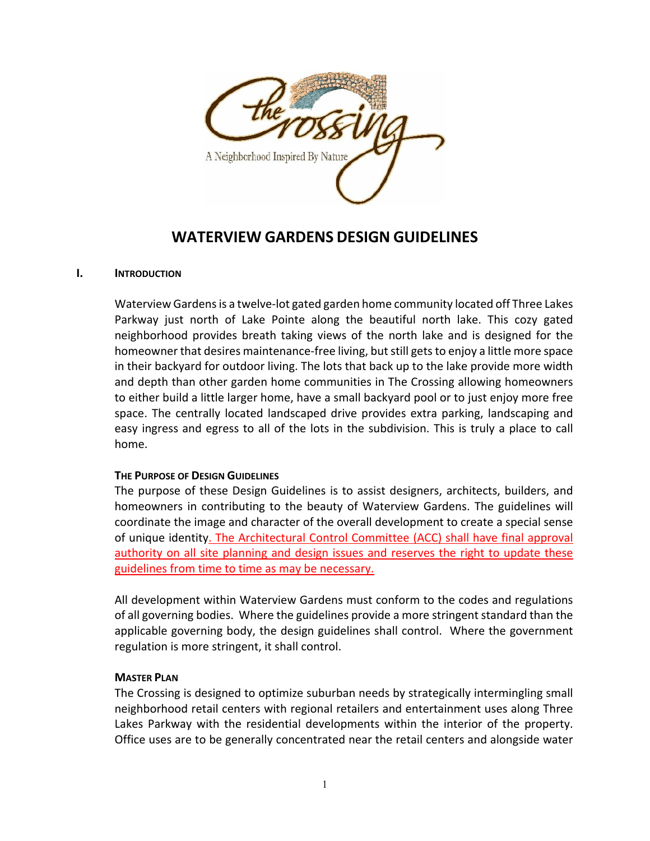

# **WATERVIEW GARDENS DESIGN GUIDELINES**

### **I. INTRODUCTION**

Waterview Gardensis a twelve‐lot gated garden home community located off Three Lakes Parkway just north of Lake Pointe along the beautiful north lake. This cozy gated neighborhood provides breath taking views of the north lake and is designed for the homeowner that desires maintenance-free living, but still gets to enjoy a little more space in their backyard for outdoor living. The lots that back up to the lake provide more width and depth than other garden home communities in The Crossing allowing homeowners to either build a little larger home, have a small backyard pool or to just enjoy more free space. The centrally located landscaped drive provides extra parking, landscaping and easy ingress and egress to all of the lots in the subdivision. This is truly a place to call home.

### **THE PURPOSE OF DESIGN GUIDELINES**

The purpose of these Design Guidelines is to assist designers, architects, builders, and homeowners in contributing to the beauty of Waterview Gardens. The guidelines will coordinate the image and character of the overall development to create a special sense of unique identity. The Architectural Control Committee (ACC) shall have final approval authority on all site planning and design issues and reserves the right to update these guidelines from time to time as may be necessary.

All development within Waterview Gardens must conform to the codes and regulations of all governing bodies. Where the guidelines provide a more stringent standard than the applicable governing body, the design guidelines shall control. Where the government regulation is more stringent, it shall control.

### **MASTER PLAN**

The Crossing is designed to optimize suburban needs by strategically intermingling small neighborhood retail centers with regional retailers and entertainment uses along Three Lakes Parkway with the residential developments within the interior of the property. Office uses are to be generally concentrated near the retail centers and alongside water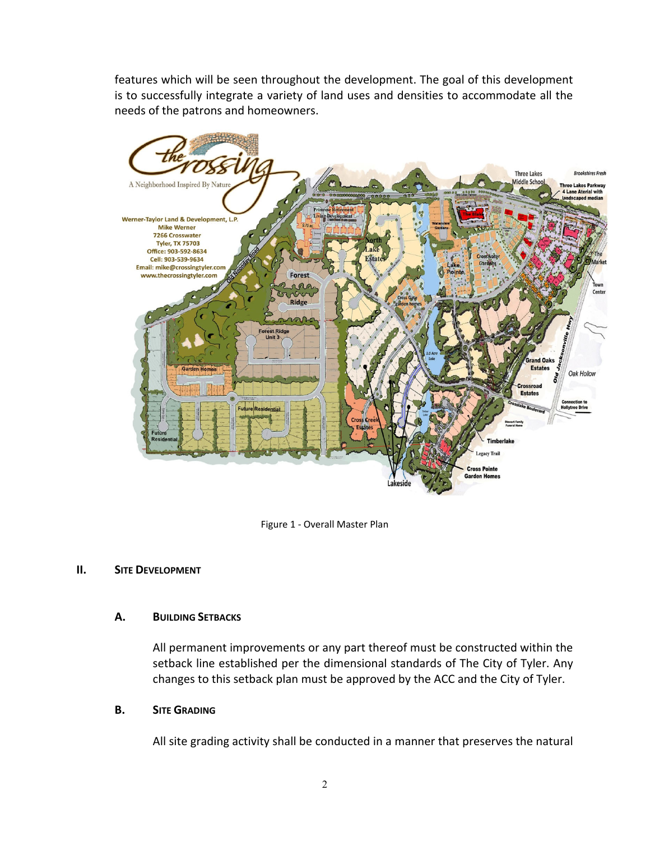features which will be seen throughout the development. The goal of this development is to successfully integrate a variety of land uses and densities to accommodate all the needs of the patrons and homeowners.



Figure 1 ‐ Overall Master Plan

### **II. SITE DEVELOPMENT**

### **A. BUILDING SETBACKS**

All permanent improvements or any part thereof must be constructed within the setback line established per the dimensional standards of The City of Tyler. Any changes to this setback plan must be approved by the ACC and the City of Tyler.

### **B. SITE GRADING**

All site grading activity shall be conducted in a manner that preserves the natural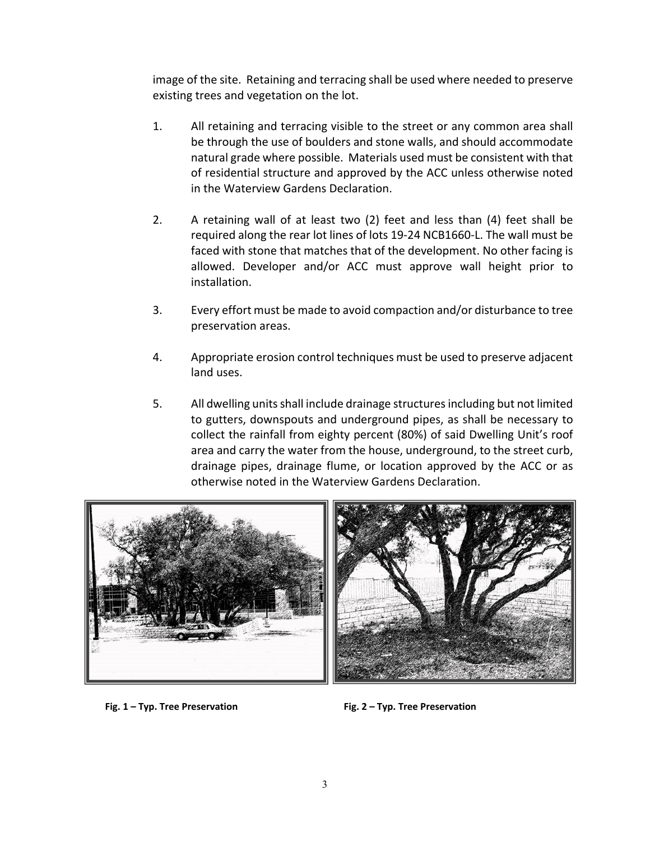image of the site. Retaining and terracing shall be used where needed to preserve existing trees and vegetation on the lot.

- 1. All retaining and terracing visible to the street or any common area shall be through the use of boulders and stone walls, and should accommodate natural grade where possible. Materials used must be consistent with that of residential structure and approved by the ACC unless otherwise noted in the Waterview Gardens Declaration.
- 2. A retaining wall of at least two (2) feet and less than (4) feet shall be required along the rear lot lines of lots 19‐24 NCB1660‐L. The wall must be faced with stone that matches that of the development. No other facing is allowed. Developer and/or ACC must approve wall height prior to installation.
- 3. Every effort must be made to avoid compaction and/or disturbance to tree preservation areas.
- 4. Appropriate erosion control techniques must be used to preserve adjacent land uses.
- 5. All dwelling unitsshall include drainage structuresincluding but not limited to gutters, downspouts and underground pipes, as shall be necessary to collect the rainfall from eighty percent (80%) of said Dwelling Unit's roof area and carry the water from the house, underground, to the street curb, drainage pipes, drainage flume, or location approved by the ACC or as otherwise noted in the Waterview Gardens Declaration.





**Fig. 1 – Typ. Tree Preservation Fig. 2 – Typ. Tree Preservation**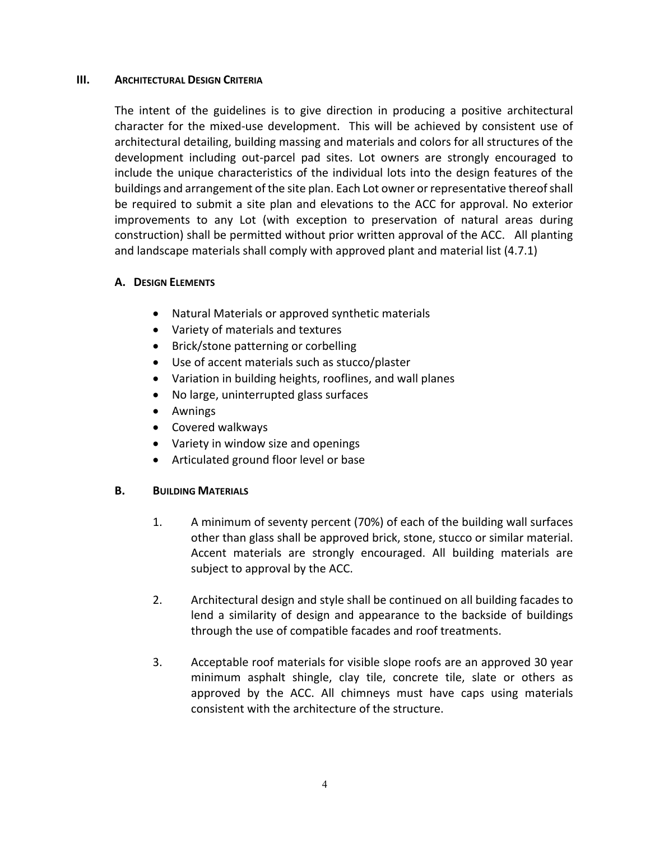### **III. ARCHITECTURAL DESIGN CRITERIA**

The intent of the guidelines is to give direction in producing a positive architectural character for the mixed‐use development. This will be achieved by consistent use of architectural detailing, building massing and materials and colors for all structures of the development including out‐parcel pad sites. Lot owners are strongly encouraged to include the unique characteristics of the individual lots into the design features of the buildings and arrangement of the site plan. Each Lot owner or representative thereofshall be required to submit a site plan and elevations to the ACC for approval. No exterior improvements to any Lot (with exception to preservation of natural areas during construction) shall be permitted without prior written approval of the ACC. All planting and landscape materials shall comply with approved plant and material list (4.7.1)

### **A. DESIGN ELEMENTS**

- Natural Materials or approved synthetic materials
- Variety of materials and textures
- Brick/stone patterning or corbelling
- Use of accent materials such as stucco/plaster
- Variation in building heights, rooflines, and wall planes
- No large, uninterrupted glass surfaces
- Awnings
- Covered walkways
- Variety in window size and openings
- Articulated ground floor level or base

# **B. BUILDING MATERIALS**

- 1. A minimum of seventy percent (70%) of each of the building wall surfaces other than glass shall be approved brick, stone, stucco or similar material. Accent materials are strongly encouraged. All building materials are subject to approval by the ACC.
- 2. Architectural design and style shall be continued on all building facades to lend a similarity of design and appearance to the backside of buildings through the use of compatible facades and roof treatments.
- 3. Acceptable roof materials for visible slope roofs are an approved 30 year minimum asphalt shingle, clay tile, concrete tile, slate or others as approved by the ACC. All chimneys must have caps using materials consistent with the architecture of the structure.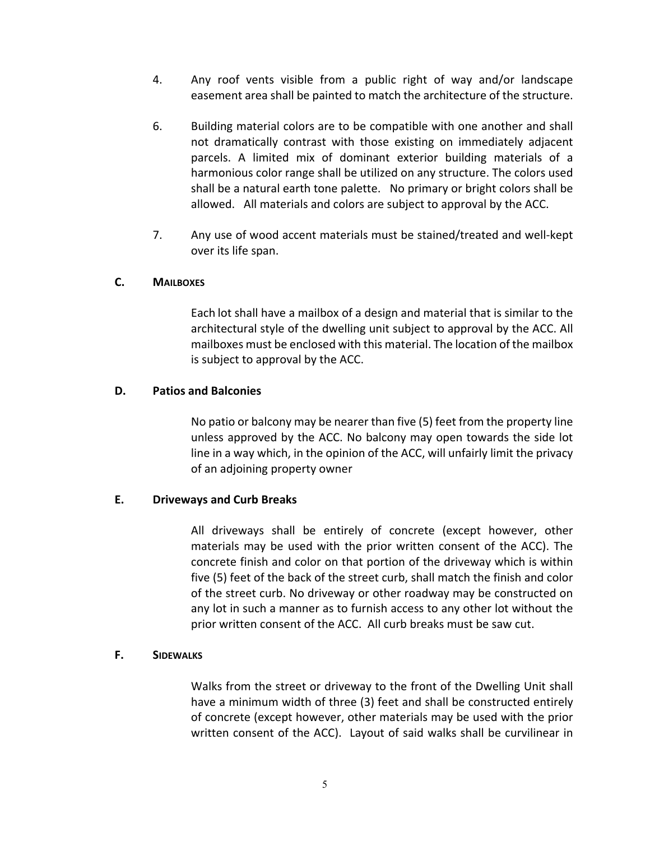- 4. Any roof vents visible from a public right of way and/or landscape easement area shall be painted to match the architecture of the structure.
- 6. Building material colors are to be compatible with one another and shall not dramatically contrast with those existing on immediately adjacent parcels. A limited mix of dominant exterior building materials of a harmonious color range shall be utilized on any structure. The colors used shall be a natural earth tone palette. No primary or bright colors shall be allowed. All materials and colors are subject to approval by the ACC.
- 7. Any use of wood accent materials must be stained/treated and well‐kept over its life span.

### **C. MAILBOXES**

Each lot shall have a mailbox of a design and material that is similar to the architectural style of the dwelling unit subject to approval by the ACC. All mailboxes must be enclosed with this material. The location of the mailbox is subject to approval by the ACC.

### **D. Patios and Balconies**

No patio or balcony may be nearer than five (5) feet from the property line unless approved by the ACC. No balcony may open towards the side lot line in a way which, in the opinion of the ACC, will unfairly limit the privacy of an adjoining property owner

### **E. Driveways and Curb Breaks**

All driveways shall be entirely of concrete (except however, other materials may be used with the prior written consent of the ACC). The concrete finish and color on that portion of the driveway which is within five (5) feet of the back of the street curb, shall match the finish and color of the street curb. No driveway or other roadway may be constructed on any lot in such a manner as to furnish access to any other lot without the prior written consent of the ACC. All curb breaks must be saw cut.

### **F. SIDEWALKS**

Walks from the street or driveway to the front of the Dwelling Unit shall have a minimum width of three (3) feet and shall be constructed entirely of concrete (except however, other materials may be used with the prior written consent of the ACC). Layout of said walks shall be curvilinear in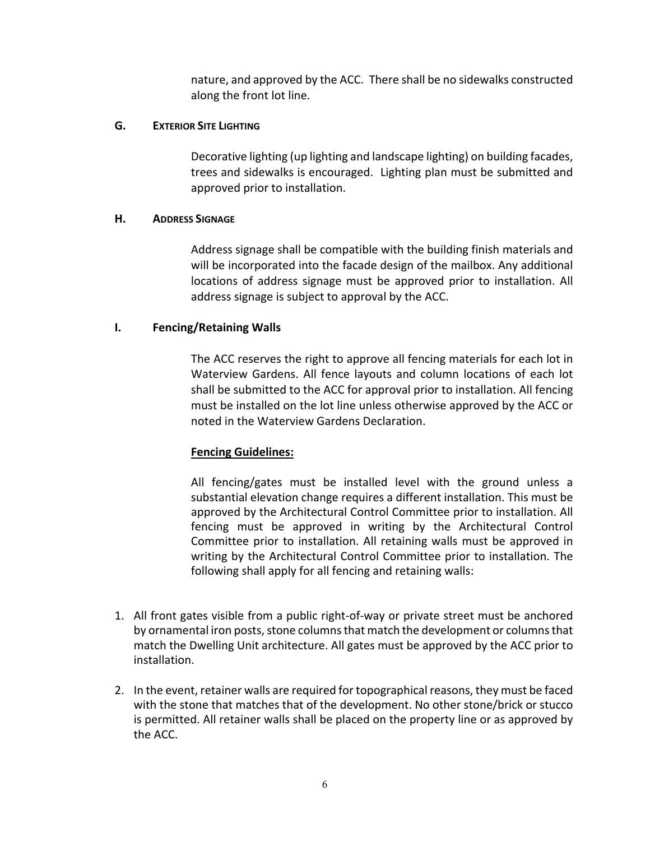nature, and approved by the ACC. There shall be no sidewalks constructed along the front lot line.

### **G. EXTERIOR SITE LIGHTING**

 Decorative lighting (up lighting and landscape lighting) on building facades, trees and sidewalks is encouraged. Lighting plan must be submitted and approved prior to installation.

## **H. ADDRESS SIGNAGE**

Address signage shall be compatible with the building finish materials and will be incorporated into the facade design of the mailbox. Any additional locations of address signage must be approved prior to installation. All address signage is subject to approval by the ACC.

## **I. Fencing/Retaining Walls**

The ACC reserves the right to approve all fencing materials for each lot in Waterview Gardens. All fence layouts and column locations of each lot shall be submitted to the ACC for approval prior to installation. All fencing must be installed on the lot line unless otherwise approved by the ACC or noted in the Waterview Gardens Declaration.

# **Fencing Guidelines:**

All fencing/gates must be installed level with the ground unless a substantial elevation change requires a different installation. This must be approved by the Architectural Control Committee prior to installation. All fencing must be approved in writing by the Architectural Control Committee prior to installation. All retaining walls must be approved in writing by the Architectural Control Committee prior to installation. The following shall apply for all fencing and retaining walls:

- 1. All front gates visible from a public right‐of‐way or private street must be anchored by ornamental iron posts, stone columns that match the development or columns that match the Dwelling Unit architecture. All gates must be approved by the ACC prior to installation.
- 2. In the event, retainer walls are required for topographical reasons, they must be faced with the stone that matches that of the development. No other stone/brick or stucco is permitted. All retainer walls shall be placed on the property line or as approved by the ACC.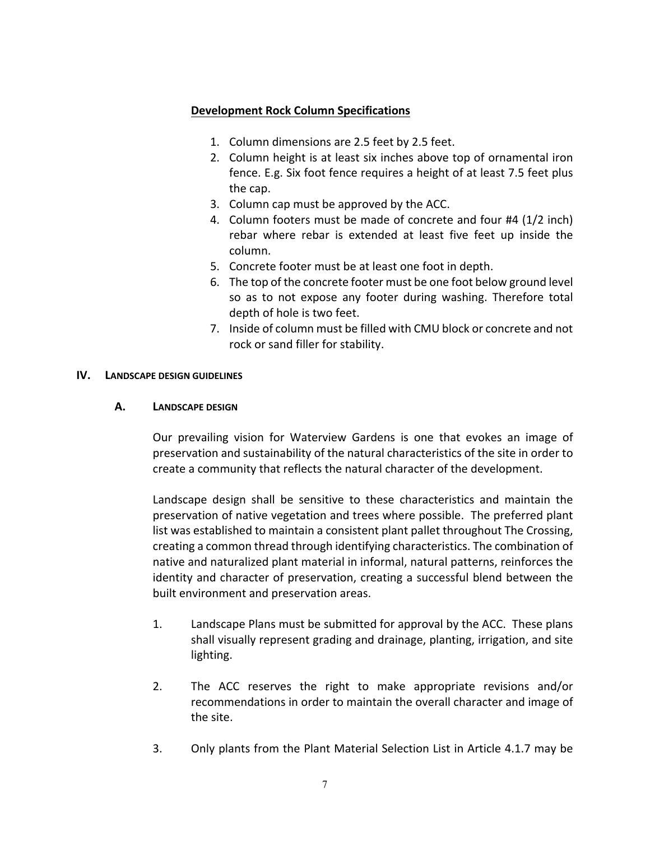## **Development Rock Column Specifications**

- 1. Column dimensions are 2.5 feet by 2.5 feet.
- 2. Column height is at least six inches above top of ornamental iron fence. E.g. Six foot fence requires a height of at least 7.5 feet plus the cap.
- 3. Column cap must be approved by the ACC.
- 4. Column footers must be made of concrete and four #4 (1/2 inch) rebar where rebar is extended at least five feet up inside the column.
- 5. Concrete footer must be at least one foot in depth.
- 6. The top of the concrete footer must be one foot below ground level so as to not expose any footer during washing. Therefore total depth of hole is two feet.
- 7. Inside of column must be filled with CMU block or concrete and not rock or sand filler for stability.

### **IV. LANDSCAPE DESIGN GUIDELINES**

### **A. LANDSCAPE DESIGN**

 Our prevailing vision for Waterview Gardens is one that evokes an image of preservation and sustainability of the natural characteristics of the site in order to create a community that reflects the natural character of the development.

Landscape design shall be sensitive to these characteristics and maintain the preservation of native vegetation and trees where possible. The preferred plant list was established to maintain a consistent plant pallet throughout The Crossing, creating a common thread through identifying characteristics. The combination of native and naturalized plant material in informal, natural patterns, reinforces the identity and character of preservation, creating a successful blend between the built environment and preservation areas.

- 1. Landscape Plans must be submitted for approval by the ACC. These plans shall visually represent grading and drainage, planting, irrigation, and site lighting.
- 2. The ACC reserves the right to make appropriate revisions and/or recommendations in order to maintain the overall character and image of the site.
- 3. Only plants from the Plant Material Selection List in Article 4.1.7 may be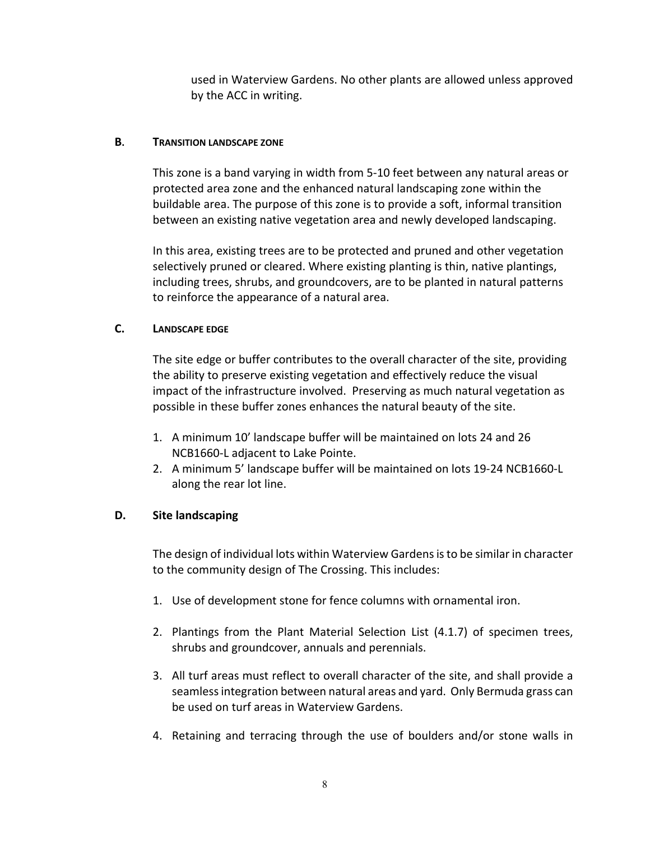used in Waterview Gardens. No other plants are allowed unless approved by the ACC in writing.

### **B. TRANSITION LANDSCAPE ZONE**

This zone is a band varying in width from 5‐10 feet between any natural areas or protected area zone and the enhanced natural landscaping zone within the buildable area. The purpose of this zone is to provide a soft, informal transition between an existing native vegetation area and newly developed landscaping.

In this area, existing trees are to be protected and pruned and other vegetation selectively pruned or cleared. Where existing planting is thin, native plantings, including trees, shrubs, and groundcovers, are to be planted in natural patterns to reinforce the appearance of a natural area.

## **C. LANDSCAPE EDGE**

The site edge or buffer contributes to the overall character of the site, providing the ability to preserve existing vegetation and effectively reduce the visual impact of the infrastructure involved. Preserving as much natural vegetation as possible in these buffer zones enhances the natural beauty of the site.

- 1. A minimum 10' landscape buffer will be maintained on lots 24 and 26 NCB1660‐L adjacent to Lake Pointe.
- 2. A minimum 5' landscape buffer will be maintained on lots 19‐24 NCB1660‐L along the rear lot line.

### **D. Site landscaping**

The design of individual lots within Waterview Gardens is to be similar in character to the community design of The Crossing. This includes:

- 1. Use of development stone for fence columns with ornamental iron.
- 2. Plantings from the Plant Material Selection List (4.1.7) of specimen trees, shrubs and groundcover, annuals and perennials.
- 3. All turf areas must reflect to overall character of the site, and shall provide a seamlessintegration between natural areas and yard. Only Bermuda grass can be used on turf areas in Waterview Gardens.
- 4. Retaining and terracing through the use of boulders and/or stone walls in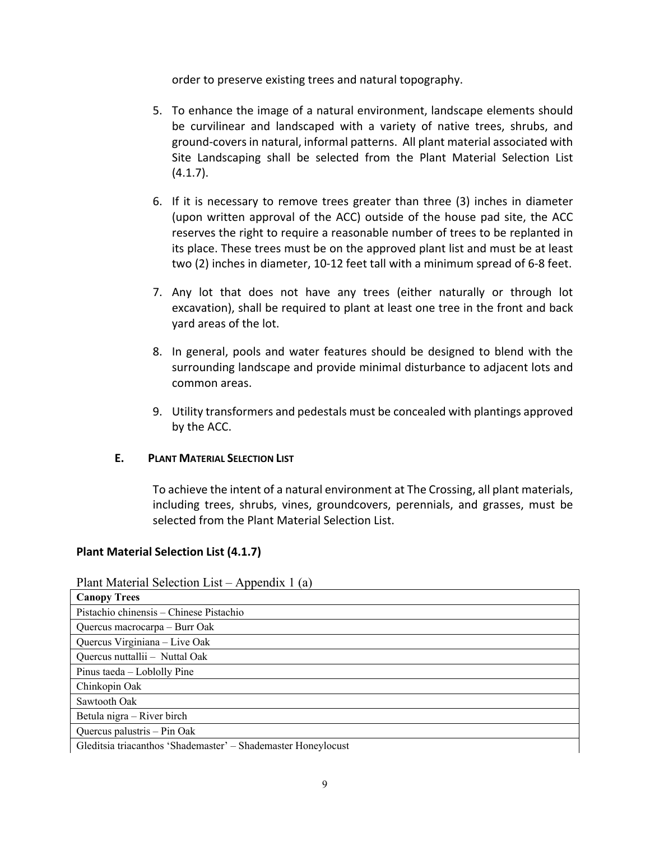order to preserve existing trees and natural topography.

- 5. To enhance the image of a natural environment, landscape elements should be curvilinear and landscaped with a variety of native trees, shrubs, and ground‐coversin natural, informal patterns. All plant material associated with Site Landscaping shall be selected from the Plant Material Selection List  $(4.1.7)$ .
- 6. If it is necessary to remove trees greater than three (3) inches in diameter (upon written approval of the ACC) outside of the house pad site, the ACC reserves the right to require a reasonable number of trees to be replanted in its place. These trees must be on the approved plant list and must be at least two (2) inches in diameter, 10‐12 feet tall with a minimum spread of 6‐8 feet.
- 7. Any lot that does not have any trees (either naturally or through lot excavation), shall be required to plant at least one tree in the front and back yard areas of the lot.
- 8. In general, pools and water features should be designed to blend with the surrounding landscape and provide minimal disturbance to adjacent lots and common areas.
- 9. Utility transformers and pedestals must be concealed with plantings approved by the ACC.

### **E. PLANT MATERIAL SELECTION LIST**

To achieve the intent of a natural environment at The Crossing, all plant materials, including trees, shrubs, vines, groundcovers, perennials, and grasses, must be selected from the Plant Material Selection List.

### **Plant Material Selection List (4.1.7)**

Plant Material Selection List – Appendix 1 (a)

| <b>Canopy Trees</b>                                           |
|---------------------------------------------------------------|
| Pistachio chinensis – Chinese Pistachio                       |
| Quercus macrocarpa – Burr Oak                                 |
| Quercus Virginiana - Live Oak                                 |
| Quercus nuttallii - Nuttal Oak                                |
| Pinus taeda – Loblolly Pine                                   |
| Chinkopin Oak                                                 |
| Sawtooth Oak                                                  |
| Betula nigra – River birch                                    |
| Quercus palustris - Pin Oak                                   |
| Gleditsia triacanthos 'Shademaster' – Shademaster Honeylocust |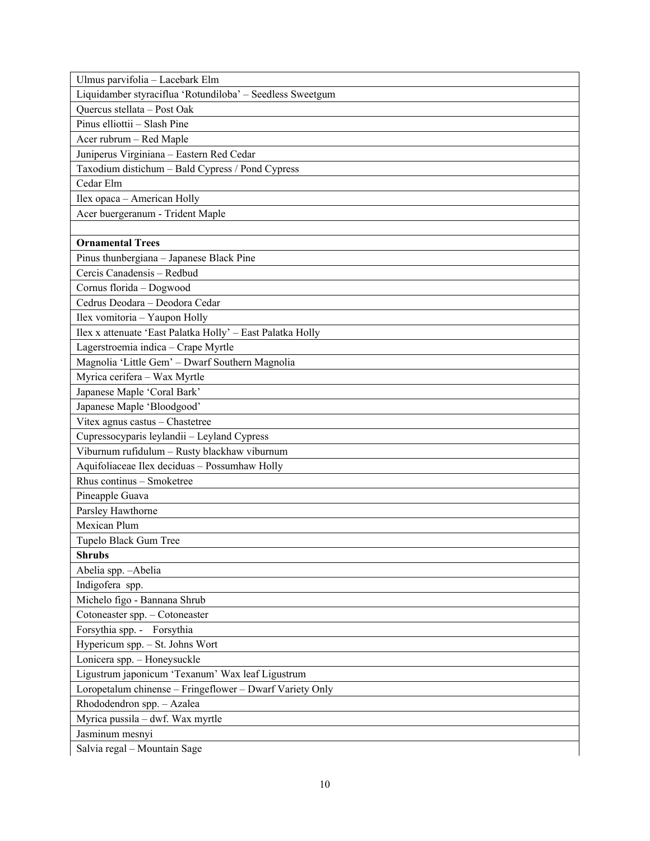| Ulmus parvifolia - Lacebark Elm                            |
|------------------------------------------------------------|
| Liquidamber styraciflua 'Rotundiloba' - Seedless Sweetgum  |
| Quercus stellata - Post Oak                                |
| Pinus elliottii - Slash Pine                               |
| Acer rubrum - Red Maple                                    |
| Juniperus Virginiana - Eastern Red Cedar                   |
| Taxodium distichum - Bald Cypress / Pond Cypress           |
| Cedar Elm                                                  |
| Ilex opaca - American Holly                                |
| Acer buergeranum - Trident Maple                           |
|                                                            |
| <b>Ornamental Trees</b>                                    |
| Pinus thunbergiana - Japanese Black Pine                   |
| Cercis Canadensis - Redbud                                 |
| Cornus florida - Dogwood                                   |
| Cedrus Deodara - Deodora Cedar                             |
| Ilex vomitoria - Yaupon Holly                              |
| Ilex x attenuate 'East Palatka Holly' - East Palatka Holly |
| Lagerstroemia indica - Crape Myrtle                        |
| Magnolia 'Little Gem' - Dwarf Southern Magnolia            |
| Myrica cerifera - Wax Myrtle                               |
| Japanese Maple 'Coral Bark'                                |
| Japanese Maple 'Bloodgood'                                 |
| Vitex agnus castus - Chastetree                            |
| Cupressocyparis leylandii - Leyland Cypress                |
| Viburnum rufidulum - Rusty blackhaw viburnum               |
| Aquifoliaceae Ilex deciduas - Possumhaw Holly              |
| Rhus continus - Smoketree                                  |
| Pineapple Guava                                            |
| Parsley Hawthorne                                          |
| Mexican Plum                                               |
| Tupelo Black Gum Tree                                      |
| <b>Shrubs</b>                                              |
| Abelia spp. - Abelia                                       |
| Indigofera spp.                                            |
| Michelo figo - Bannana Shrub                               |
| Cotoneaster spp. - Cotoneaster                             |
| Forsythia spp. - Forsythia                                 |
| Hypericum spp. - St. Johns Wort                            |
| Lonicera spp. - Honeysuckle                                |
| Ligustrum japonicum 'Texanum' Wax leaf Ligustrum           |
| Loropetalum chinense - Fringeflower - Dwarf Variety Only   |
| Rhododendron spp. - Azalea                                 |
| Myrica pussila - dwf. Wax myrtle                           |
| Jasminum mesnyi                                            |
| Salvia regal - Mountain Sage                               |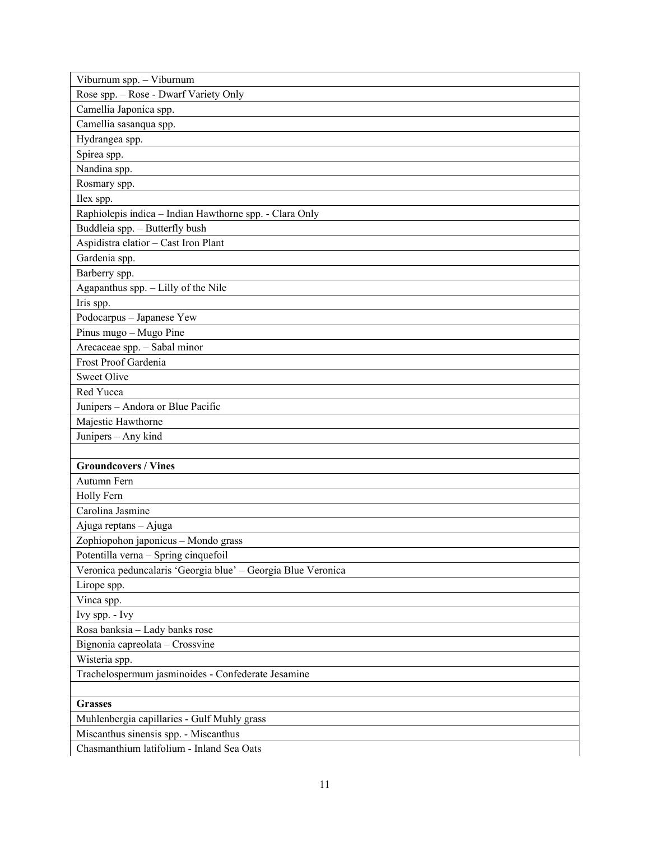| Viburnum spp. - Viburnum                                     |
|--------------------------------------------------------------|
| Rose spp. - Rose - Dwarf Variety Only                        |
| Camellia Japonica spp.                                       |
| Camellia sasanqua spp.                                       |
| Hydrangea spp.                                               |
| Spirea spp.                                                  |
| Nandina spp.                                                 |
| Rosmary spp.                                                 |
| Ilex spp.                                                    |
| Raphiolepis indica - Indian Hawthorne spp. - Clara Only      |
| Buddleia spp. - Butterfly bush                               |
| Aspidistra elatior - Cast Iron Plant                         |
| Gardenia spp.                                                |
| Barberry spp.                                                |
| Agapanthus spp. - Lilly of the Nile                          |
| Iris spp.                                                    |
| Podocarpus - Japanese Yew                                    |
| Pinus mugo - Mugo Pine                                       |
| Arecaceae spp. - Sabal minor                                 |
| Frost Proof Gardenia                                         |
| <b>Sweet Olive</b>                                           |
| Red Yucca                                                    |
| Junipers - Andora or Blue Pacific                            |
| Majestic Hawthorne                                           |
| Junipers - Any kind                                          |
|                                                              |
| <b>Groundcovers / Vines</b>                                  |
| Autumn Fern                                                  |
| Holly Fern                                                   |
| Carolina Jasmine                                             |
| Ajuga reptans - Ajuga                                        |
| Zophiopohon japonicus - Mondo grass                          |
| Potentilla verna - Spring cinquefoil                         |
| Veronica peduncalaris 'Georgia blue' - Georgia Blue Veronica |
| Lirope spp.                                                  |
| Vinca spp.                                                   |
| Ivy spp. - Ivy                                               |
| Rosa banksia - Lady banks rose                               |
| Bignonia capreolata - Crossvine                              |
| Wisteria spp.                                                |
| Trachelospermum jasminoides - Confederate Jesamine           |
|                                                              |
| <b>Grasses</b>                                               |
| Muhlenbergia capillaries - Gulf Muhly grass                  |
| Miscanthus sinensis spp. - Miscanthus                        |
| Chasmanthium latifolium - Inland Sea Oats                    |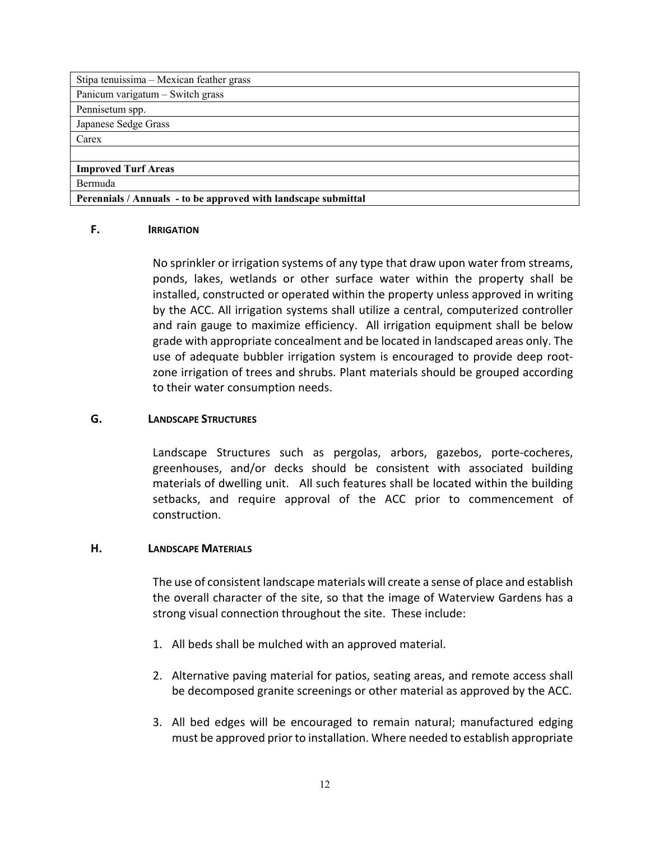| Stipa tenuissima – Mexican feather grass                       |
|----------------------------------------------------------------|
| Panicum varigatum - Switch grass                               |
| Pennisetum spp.                                                |
| Japanese Sedge Grass                                           |
| Carex                                                          |
|                                                                |
| <b>Improved Turf Areas</b>                                     |
| Bermuda                                                        |
| Perennials / Annuals - to be approved with landscape submittal |

#### **F. IRRIGATION**

No sprinkler or irrigation systems of any type that draw upon water from streams, ponds, lakes, wetlands or other surface water within the property shall be installed, constructed or operated within the property unless approved in writing by the ACC. All irrigation systems shall utilize a central, computerized controller and rain gauge to maximize efficiency. All irrigation equipment shall be below grade with appropriate concealment and be located in landscaped areas only. The use of adequate bubbler irrigation system is encouraged to provide deep root‐ zone irrigation of trees and shrubs. Plant materials should be grouped according to their water consumption needs.

#### **G. LANDSCAPE STRUCTURES**

Landscape Structures such as pergolas, arbors, gazebos, porte-cocheres, greenhouses, and/or decks should be consistent with associated building materials of dwelling unit. All such features shall be located within the building setbacks, and require approval of the ACC prior to commencement of construction.

#### **H. LANDSCAPE MATERIALS**

The use of consistent landscape materials will create a sense of place and establish the overall character of the site, so that the image of Waterview Gardens has a strong visual connection throughout the site. These include:

- 1. All beds shall be mulched with an approved material.
- 2. Alternative paving material for patios, seating areas, and remote access shall be decomposed granite screenings or other material as approved by the ACC.
- 3. All bed edges will be encouraged to remain natural; manufactured edging must be approved prior to installation. Where needed to establish appropriate